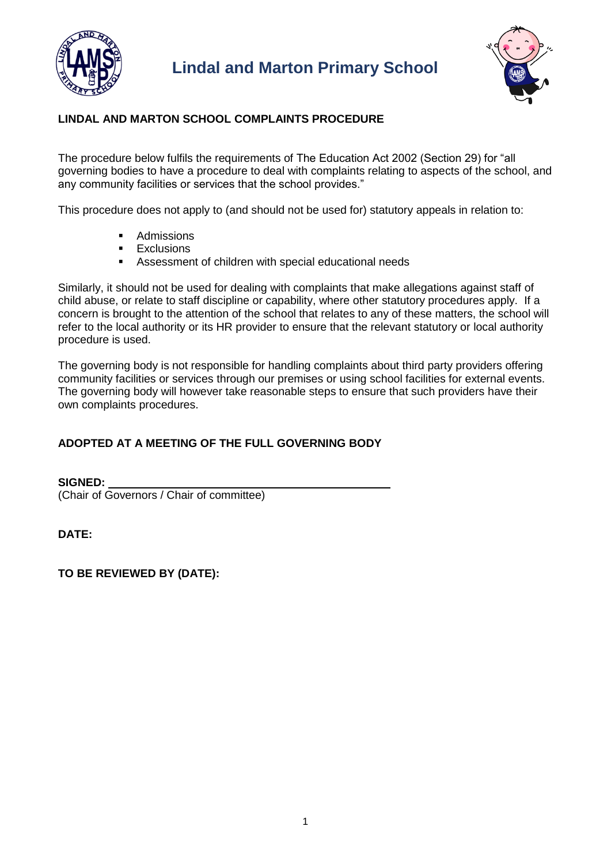



# **LINDAL AND MARTON SCHOOL COMPLAINTS PROCEDURE**

The procedure below fulfils the requirements of The Education Act 2002 (Section 29) for "all governing bodies to have a procedure to deal with complaints relating to aspects of the school, and any community facilities or services that the school provides."

This procedure does not apply to (and should not be used for) statutory appeals in relation to:

- Admissions
- **Exclusions**
- Assessment of children with special educational needs

Similarly, it should not be used for dealing with complaints that make allegations against staff of child abuse, or relate to staff discipline or capability, where other statutory procedures apply. If a concern is brought to the attention of the school that relates to any of these matters, the school will refer to the local authority or its HR provider to ensure that the relevant statutory or local authority procedure is used.

The governing body is not responsible for handling complaints about third party providers offering community facilities or services through our premises or using school facilities for external events. The governing body will however take reasonable steps to ensure that such providers have their own complaints procedures.

# **ADOPTED AT A MEETING OF THE FULL GOVERNING BODY**

**SIGNED:**  (Chair of Governors / Chair of committee)

**DATE:** 

## **TO BE REVIEWED BY (DATE):**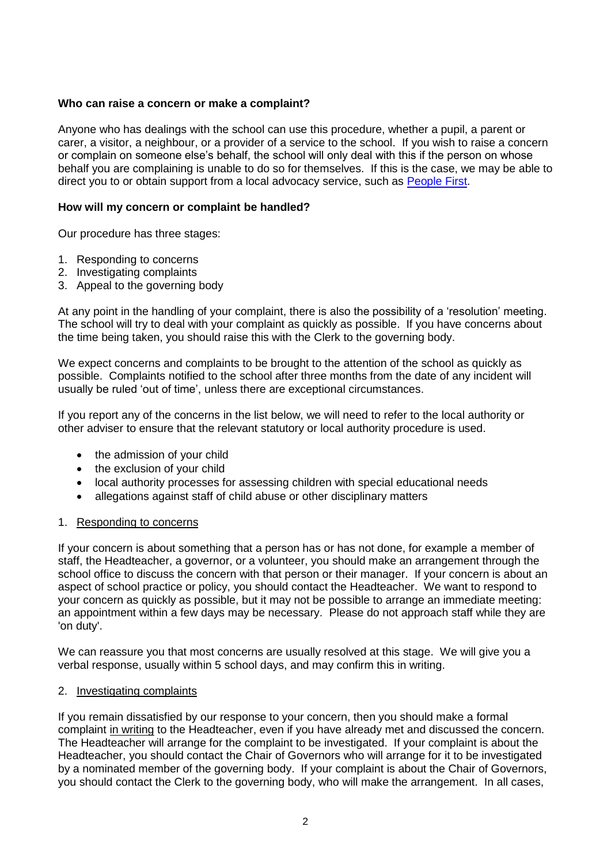## **Who can raise a concern or make a complaint?**

Anyone who has dealings with the school can use this procedure, whether a pupil, a parent or carer, a visitor, a neighbour, or a provider of a service to the school. If you wish to raise a concern or complain on someone else's behalf, the school will only deal with this if the person on whose behalf you are complaining is unable to do so for themselves. If this is the case, we may be able to direct you to or obtain support from a local advocacy service, such as [People First.](http://www.peoplefirstcumbria.org.uk/)

### **How will my concern or complaint be handled?**

Our procedure has three stages:

- 1. Responding to concerns
- 2. Investigating complaints
- 3. Appeal to the governing body

At any point in the handling of your complaint, there is also the possibility of a 'resolution' meeting. The school will try to deal with your complaint as quickly as possible. If you have concerns about the time being taken, you should raise this with the Clerk to the governing body.

We expect concerns and complaints to be brought to the attention of the school as quickly as possible. Complaints notified to the school after three months from the date of any incident will usually be ruled 'out of time', unless there are exceptional circumstances.

If you report any of the concerns in the list below, we will need to refer to the local authority or other adviser to ensure that the relevant statutory or local authority procedure is used.

- the admission of your child
- the exclusion of your child
- local authority processes for assessing children with special educational needs
- allegations against staff of child abuse or other disciplinary matters

#### 1. Responding to concerns

If your concern is about something that a person has or has not done, for example a member of staff, the Headteacher, a governor, or a volunteer, you should make an arrangement through the school office to discuss the concern with that person or their manager. If your concern is about an aspect of school practice or policy, you should contact the Headteacher. We want to respond to your concern as quickly as possible, but it may not be possible to arrange an immediate meeting: an appointment within a few days may be necessary. Please do not approach staff while they are 'on duty'.

We can reassure you that most concerns are usually resolved at this stage. We will give you a verbal response, usually within 5 school days, and may confirm this in writing.

#### 2. Investigating complaints

If you remain dissatisfied by our response to your concern, then you should make a formal complaint in writing to the Headteacher, even if you have already met and discussed the concern. The Headteacher will arrange for the complaint to be investigated. If your complaint is about the Headteacher, you should contact the Chair of Governors who will arrange for it to be investigated by a nominated member of the governing body. If your complaint is about the Chair of Governors, you should contact the Clerk to the governing body, who will make the arrangement. In all cases,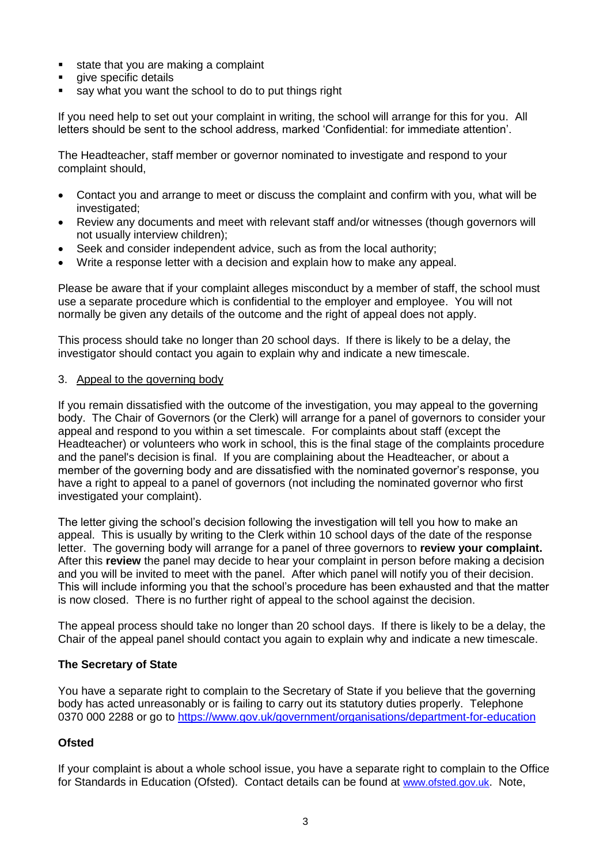- state that you are making a complaint
- give specific details
- say what you want the school to do to put things right

If you need help to set out your complaint in writing, the school will arrange for this for you. All letters should be sent to the school address, marked 'Confidential: for immediate attention'.

The Headteacher, staff member or governor nominated to investigate and respond to your complaint should,

- Contact you and arrange to meet or discuss the complaint and confirm with you, what will be investigated;
- Review any documents and meet with relevant staff and/or witnesses (though governors will not usually interview children);
- Seek and consider independent advice, such as from the local authority;
- Write a response letter with a decision and explain how to make any appeal.

Please be aware that if your complaint alleges misconduct by a member of staff, the school must use a separate procedure which is confidential to the employer and employee. You will not normally be given any details of the outcome and the right of appeal does not apply.

This process should take no longer than 20 school days. If there is likely to be a delay, the investigator should contact you again to explain why and indicate a new timescale.

### 3. Appeal to the governing body

If you remain dissatisfied with the outcome of the investigation, you may appeal to the governing body. The Chair of Governors (or the Clerk) will arrange for a panel of governors to consider your appeal and respond to you within a set timescale. For complaints about staff (except the Headteacher) or volunteers who work in school, this is the final stage of the complaints procedure and the panel's decision is final. If you are complaining about the Headteacher, or about a member of the governing body and are dissatisfied with the nominated governor's response, you have a right to appeal to a panel of governors (not including the nominated governor who first investigated your complaint).

The letter giving the school's decision following the investigation will tell you how to make an appeal. This is usually by writing to the Clerk within 10 school days of the date of the response letter. The governing body will arrange for a panel of three governors to **review your complaint.** After this **review** the panel may decide to hear your complaint in person before making a decision and you will be invited to meet with the panel. After which panel will notify you of their decision. This will include informing you that the school's procedure has been exhausted and that the matter is now closed. There is no further right of appeal to the school against the decision.

The appeal process should take no longer than 20 school days. If there is likely to be a delay, the Chair of the appeal panel should contact you again to explain why and indicate a new timescale.

### **The Secretary of State**

You have a separate right to complain to the Secretary of State if you believe that the governing body has acted unreasonably or is failing to carry out its statutory duties properly. Telephone 0370 000 2288 or go to<https://www.gov.uk/government/organisations/department-for-education>

### **Ofsted**

If your complaint is about a whole school issue, you have a separate right to complain to the Office for Standards in Education (Ofsted). Contact details can be found at [www.ofsted.gov.uk](http://www.ofsted.gov.uk/). Note,